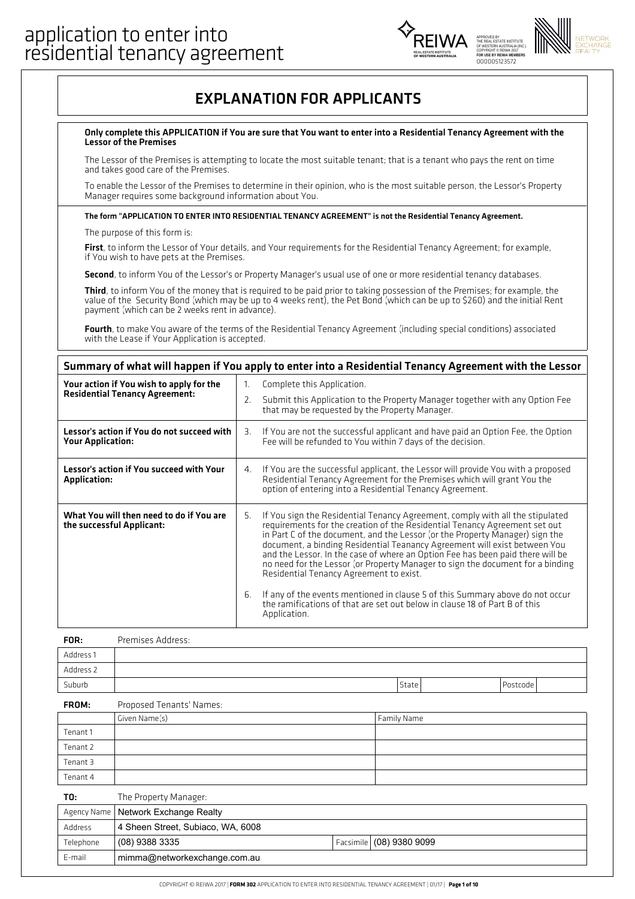



## EXPLANATION FOR APPLICANTS

#### Only complete this APPLICATION ifYou are sure that You want to enter into a Residential Tenancy Agreement with the Lessor of the Premises

The Lessor of the Premises is attempting to locate the most suitable tenant; that is a tenant who pays the rent on time and takes good care of the Premises.

To enable the Lessor of the Premises to determine in their opinion, who is the most suitable person, the Lessor's Property Manager requires some background information about You.

#### The form "APPLICATION TO ENTER INTO RESIDENTIAL TENANCY AGREEMENT" is not the Residential Tenancy Agreement.

The purpose of this form is:

First, to inform the Lessor of Your details, and Your requirements for the Residential Tenancy Agreement; for example, if You wish to have pets at the Premises.

Second, to inform You of the Lessor's or Property Manager's usual use of one or more residential tenancy databases.

Third, to inform You of the money that is required to be paid prior to taking possession of the Premises; for example, the value of the Security Bond (which may be up to 4 weeks rent), the Pet Bond (which can be up to \$260) and the initial Rent payment (which can be 2 weeks rent in advance).

Fourth, to make You aware of the terms of the Residential Tenancy Agreement (including special conditions) associated<br>with the Lease if Your Application is accepted.

#### Summary of what will happen if You apply to enter into a Residential Tenancy Agreement with the Lessor

| Your action if You wish to apply for the<br><b>Residential Tenancy Agreement:</b> | Complete this Application.<br>$\mathbf{1}$ .<br>Submit this Application to the Property Manager together with any Option Fee<br>2.<br>that may be requested by the Property Manager.                                                                                                                                                                                                                                                                                                                                                                                                                                                                                                                                               |
|-----------------------------------------------------------------------------------|------------------------------------------------------------------------------------------------------------------------------------------------------------------------------------------------------------------------------------------------------------------------------------------------------------------------------------------------------------------------------------------------------------------------------------------------------------------------------------------------------------------------------------------------------------------------------------------------------------------------------------------------------------------------------------------------------------------------------------|
| Lessor's action if You do not succeed with<br><b>Your Application:</b>            | If You are not the successful applicant and have paid an Option Fee, the Option<br>З.<br>Fee will be refunded to You within 7 days of the decision.                                                                                                                                                                                                                                                                                                                                                                                                                                                                                                                                                                                |
| Lessor's action if You succeed with Your<br><b>Application:</b>                   | If You are the successful applicant, the Lessor will provide You with a proposed<br>4.<br>Residential Tenancy Agreement for the Premises which will grant You the<br>option of entering into a Residential Tenancy Agreement.                                                                                                                                                                                                                                                                                                                                                                                                                                                                                                      |
| What You will then need to do if You are<br>the successful Applicant:             | If You sign the Residential Tenancy Agreement, comply with all the stipulated<br>5.<br>requirements for the creation of the Residential Tenancy Agreement set out<br>in Part C of the document, and the Lessor (or the Property Manager) sign the<br>document, a binding Residential Teanancy Agreement will exist between You<br>and the Lessor. In the case of where an Option Fee has been paid there will be<br>no need for the Lessor (or Property Manager to sign the document for a binding<br>Residential Tenancy Agreement to exist.<br>If any of the events mentioned in clause 5 of this Summary above do not occur<br>6.<br>the ramifications of that are set out below in clause 18 of Part B of this<br>Application. |

| FOR:      | Premises Address: |       |          |  |
|-----------|-------------------|-------|----------|--|
| Address 1 |                   |       |          |  |
| Address 2 |                   |       |          |  |
| Suburb    |                   | State | Postcode |  |

#### Proposed Tenants' Names: FROM:

|          | Given Name(s) | Family Name |
|----------|---------------|-------------|
| Tenant 1 |               |             |
| Tenant 2 |               |             |
| Tenant 3 |               |             |
| Tenant 4 |               |             |
|          |               |             |

| T0:       | The Property Manager:                 |                            |
|-----------|---------------------------------------|----------------------------|
|           | Agency Name   Network Exchange Realty |                            |
| Address   | 4 Sheen Street, Subiaco, WA, 6008     |                            |
| Telephone | (08) 9388 3335                        | Facsimile   (08) 9380 9099 |
| E-mail    | mimma@networkexchange.com.au          |                            |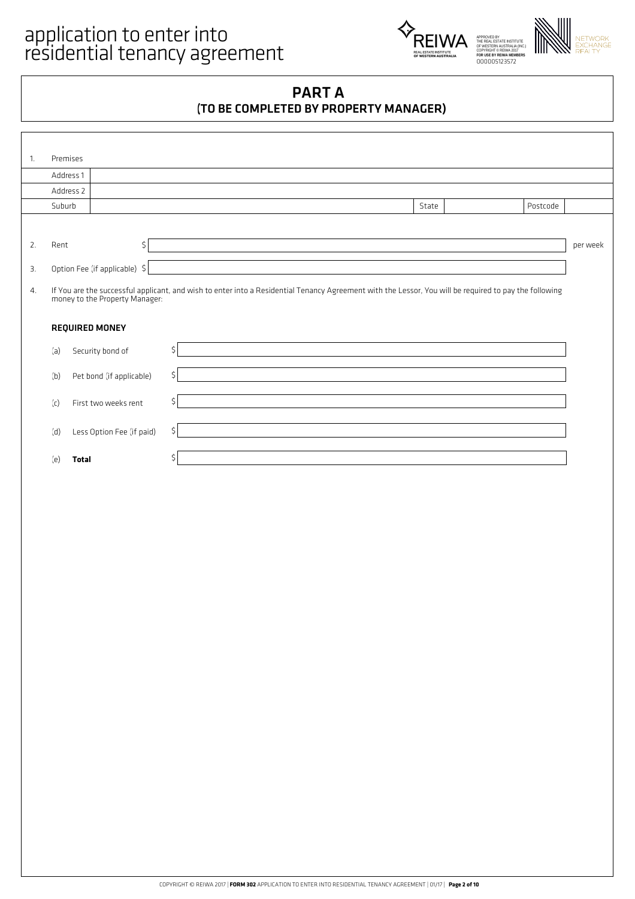

## PART A (TO BE COMPLETED BY PROPERTY MANAGER)

| $\mathbf{1}$ . | Premises  |                                |                                                                                                                                                        |          |          |
|----------------|-----------|--------------------------------|--------------------------------------------------------------------------------------------------------------------------------------------------------|----------|----------|
|                | Address 1 |                                |                                                                                                                                                        |          |          |
|                | Address 2 |                                |                                                                                                                                                        |          |          |
|                | Suburb    |                                | State                                                                                                                                                  | Postcode |          |
|                |           |                                |                                                                                                                                                        |          |          |
| 2.             | Rent      | \$                             |                                                                                                                                                        |          | per week |
| 3.             |           | Option Fee (if applicable) \$  |                                                                                                                                                        |          |          |
| 4.             |           | money to the Property Manager: | If You are the successful applicant, and wish to enter into a Residential Tenancy Agreement with the Lessor, You will be required to pay the following |          |          |
|                |           | <b>REQUIRED MONEY</b>          |                                                                                                                                                        |          |          |
|                | (a)       | Security bond of               | Ś                                                                                                                                                      |          |          |
|                | (b)       | Pet bond (if applicable)       | \$                                                                                                                                                     |          |          |
|                | (c)       | First two weeks rent           | Š.                                                                                                                                                     |          |          |
|                | (d)       | Less Option Fee (if paid)      | \$                                                                                                                                                     |          |          |
|                | (e)       | <b>Total</b>                   |                                                                                                                                                        |          |          |
|                |           |                                |                                                                                                                                                        |          |          |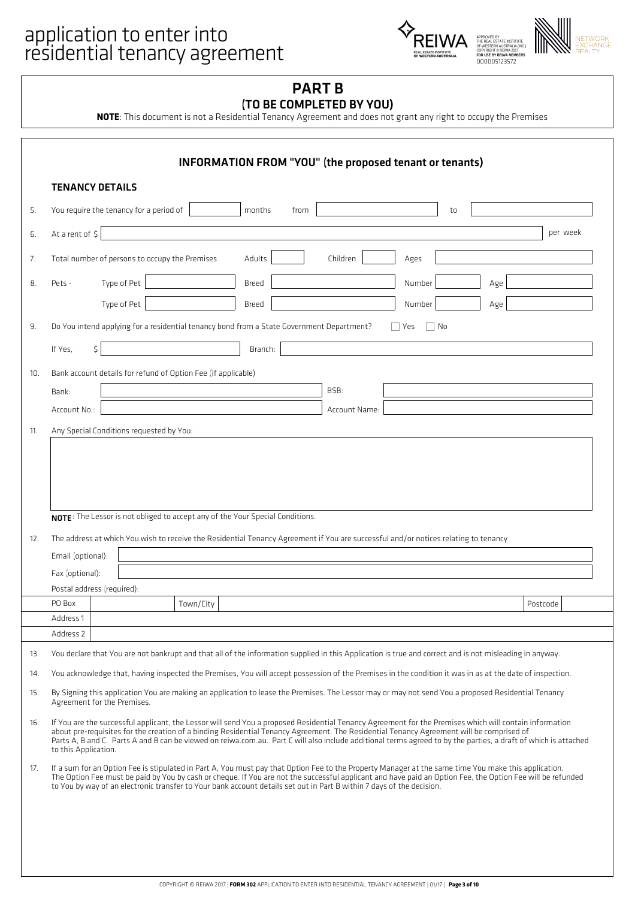# application to enter into<br>
FOREIWA



### PART B (TO BE COMPLETED BY YOU)

**NOTE**: This document is not a Residential Tenancy Agreement and does not grant any right to occupy the Premises

|    | <b>TENANCY DETAILS</b>                                                                                                                                                                                                                                                                                                                                                                                                                                                                        |              |                                                                               |             |    |     |          |
|----|-----------------------------------------------------------------------------------------------------------------------------------------------------------------------------------------------------------------------------------------------------------------------------------------------------------------------------------------------------------------------------------------------------------------------------------------------------------------------------------------------|--------------|-------------------------------------------------------------------------------|-------------|----|-----|----------|
| 5. | You require the tenancy for a period of                                                                                                                                                                                                                                                                                                                                                                                                                                                       | months       | from                                                                          |             | to |     |          |
| 6. | At a rent of \$                                                                                                                                                                                                                                                                                                                                                                                                                                                                               |              |                                                                               |             |    |     | per week |
| 7. | Total number of persons to occupy the Premises                                                                                                                                                                                                                                                                                                                                                                                                                                                | Adults       | Children                                                                      | Ages        |    |     |          |
|    | Type of Pet<br>Pets -                                                                                                                                                                                                                                                                                                                                                                                                                                                                         | Breed        |                                                                               | Number      |    | Age |          |
|    | Type of Pet                                                                                                                                                                                                                                                                                                                                                                                                                                                                                   | <b>Breed</b> |                                                                               | Number      |    | Age |          |
|    | Do You intend applying for a residential tenancy bond from a State Government Department?                                                                                                                                                                                                                                                                                                                                                                                                     |              |                                                                               | No<br>l Yes |    |     |          |
|    |                                                                                                                                                                                                                                                                                                                                                                                                                                                                                               |              |                                                                               |             |    |     |          |
|    | If Yes.<br>\$                                                                                                                                                                                                                                                                                                                                                                                                                                                                                 | Branch:      |                                                                               |             |    |     |          |
|    | Bank account details for refund of Option Fee (if applicable)                                                                                                                                                                                                                                                                                                                                                                                                                                 |              |                                                                               |             |    |     |          |
|    | Bank:                                                                                                                                                                                                                                                                                                                                                                                                                                                                                         |              | BSB:                                                                          |             |    |     |          |
|    | Account No.:                                                                                                                                                                                                                                                                                                                                                                                                                                                                                  |              | Account Name:                                                                 |             |    |     |          |
|    |                                                                                                                                                                                                                                                                                                                                                                                                                                                                                               |              | NOTE: The Lessor is not obliged to accept any of the Your Special Conditions. |             |    |     |          |
|    | The address at which You wish to receive the Residential Tenancy Agreement if You are successful and/or notices relating to tenancy<br>Email (optional):<br>Fax (optional):                                                                                                                                                                                                                                                                                                                   |              |                                                                               |             |    |     |          |
|    | Postal address (required):                                                                                                                                                                                                                                                                                                                                                                                                                                                                    |              |                                                                               |             |    |     |          |
|    | Town/City<br>PO Box                                                                                                                                                                                                                                                                                                                                                                                                                                                                           |              |                                                                               |             |    |     | Postcode |
|    | Address 1<br>Address 2                                                                                                                                                                                                                                                                                                                                                                                                                                                                        |              |                                                                               |             |    |     |          |
|    | You declare that You are not bankrupt and that all of the information supplied in this Application is true and correct and is not misleading in anyway.                                                                                                                                                                                                                                                                                                                                       |              |                                                                               |             |    |     |          |
|    | You acknowledge that, having inspected the Premises, You will accept possession of the Premises in the condition it was in as at the date of inspection.                                                                                                                                                                                                                                                                                                                                      |              |                                                                               |             |    |     |          |
|    | By Signing this application You are making an application to lease the Premises. The Lessor may or may not send You a proposed Residential Tenancy<br>Agreement for the Premises.                                                                                                                                                                                                                                                                                                             |              |                                                                               |             |    |     |          |
|    | If You are the successful applicant, the Lessor will send You a proposed Residential Tenancy Agreement for the Premises which will contain information<br>about pre-requisites for the creation of a binding Residential Tenancy Agreement. The Residential Tenancy Agreement will be comprised of<br>Parts A, B and C. Parts A and B can be viewed on reiwa.com.au. Part C will also include additional terms agreed to by the parties, a draft of which is attached<br>to this Application. |              |                                                                               |             |    |     |          |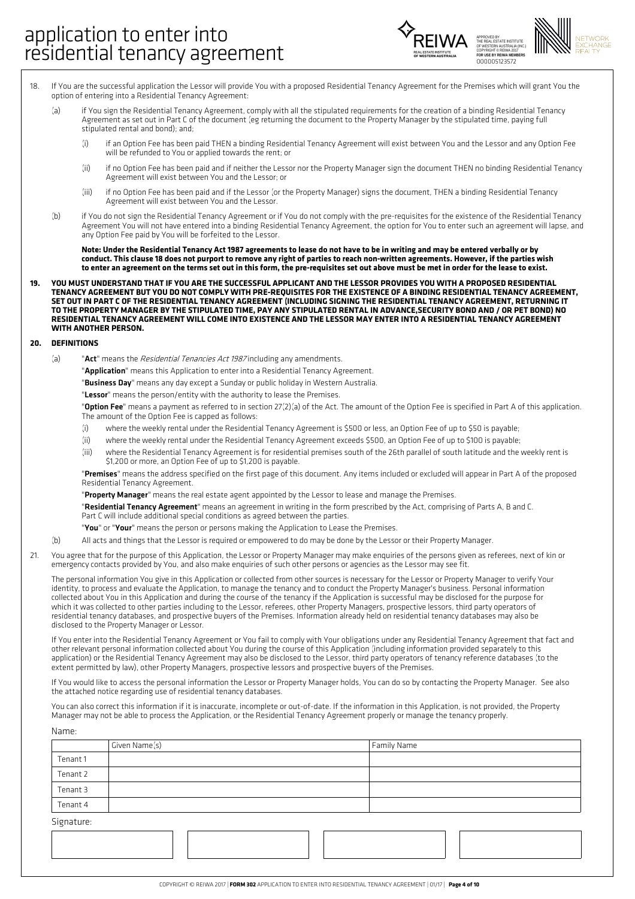

- If You are the successful application the Lessor will provide You with a proposed Residential Tenancy Agreement for the Premises which will grant You the option of entering into a Residential Tenancy Agreement: 18.
	- (a) if You sign the Residential Tenancy Agreement, comply with all the stipulated requirements for the creation of a binding Residential Tenancy Agreement as set out in Part C of the document (eg returning the document to the Property Manager by the stipulated time, paying full stipulated rental and bond); and;
		- (i) if an Option Fee has been paid THEN a binding Residential Tenancy Agreement will exist between You and the Lessor and any Option Fee will be refunded to You or applied towards the rent; or
		- if no Option Fee has been paid and if neither the Lessor nor the Property Manager sign the document THEN no binding Residential Tenancy Agreement will exist between You and the Lessor; or (ii)
		- if no Option Fee has been paid and if the Lessor (or the Property Manager) signs the document, THEN a binding Residential Tenancy Agreement will exist between You and the Lessor. (iii)
		- if You do not sign the Residential Tenancy Agreement or if You do not comply with the pre-requisites for the existence of the Residential Tenancy Agreement You will not have entered into a binding Residential Tenancy Agreement, the option for You to enter such an agreement will lapse, and any Option Fee paid by You will be forfeited to the Lessor.

Note: Under the Residential Tenancy Act 1987 agreements to lease do not have to be in writing and may be entered verbally or by conduct. This clause 18 does not purport to remove any right of parties to reach non-written agreements. However, if the parties wish to enter an agreement on the terms set out in this form, the pre-requisites set out above must be met in order for the lease to exist.

YOU MUST UNDERSTAND THAT IF YOU ARE THE SUCCESSFUL APPLICANT AND THE LESSOR PROVIDES YOU WITH A PROPOSED RESIDENTIAL TENANCY AGREEMENT BUT YOU DO NOT COMPLY WITH PRE-REQUISITES FOR THE EXISTENCE OF A BINDING RESIDENTIAL TENANCY AGREEMENT. SET OUT IN PART C OF THE RESIDENTIAL TENANCY AGREEMENT (INCLUDING SIGNING THE RESIDENTIAL TENANCY AGREEMENT, RETURNING IT TO THE PROPERTY MANAGER BY THE STIPULATED TIME, PAY ANY STIPULATED RENTAL IN ADVANCE, SECURITY BOND AND / OR PET BOND) NO RESIDENTIAL TENANCY AGREEMENT WILL COME INTO EXISTENCE AND THE LESSOR MAY ENTER INTO A RESIDENTIAL TENANCY AGREEMENT **WITH ANOTHER PERSON. 19.**

#### **20. DEFINITIONS**

Name:

 $(h)$ 

- (a) "Act" means the Residential Tenancies Act 1987 including any amendments.
	- "**Application**" means this Application to enter into a Residential Tenancy Agreement.
	- "Business Day" means any day except a Sunday or public holiday in Western Australia.

"Lessor" means the person/entity with the authority to lease the Premises.

"Option Fee" means a payment as referred to in section 27(2)(a) of the Act. The amount of the Option Fee is specified in Part A of this application. The amount of the Option Fee is capped as follows:

- (i) where the weekly rental under the Residential Tenancy Agreement is \$500 or less, an Option Fee of up to \$50 is payable;
- (ii) where the weekly rental under the Residential Tenancy Agreement exceeds \$500, an Option Fee of up to \$100 is payable;
- where the Residential Tenancy Agreement is for residential premises south of the 26th parallel of south latitude and the weekly rent is \$1,200 or more, an Option Fee of up to \$1,200 is payable. (iii)

"Premises" means the address specified on the first page of this document. Any items included or excluded will appear in Part A of the proposed Residential Tenancy Agreement.

"Property Manager" means the real estate agent appointed by the Lessor to lease and manage the Premises.

"Residential Tenancy Agreement" means an agreement in writing in the form prescribed by the Act, comprising of Parts A, B and C. Part C will include additional special conditions as agreed between the parties.

- "You" or "Your" means the person or persons making the Application to Lease the Premises.
- (b) All acts and things that the Lessor is required or empowered to do may be done by the Lessor or their Property Manager.
- You agree that for the purpose of this Application, the Lessor or Property Manager may make enquiries of the persons given as referees, next of kin or emergency contacts provided by You, and also make enquiries of such other persons or agencies as the Lessor may see fit. 21.

The personal information You give in this Application or collected from other sources is necessary for the Lessor or Property Manager to verify Your identity, to process and evaluate the Application, to manage the tenancy and to conduct the Property Manager's business. Personal information collected about You in this Application and during the course of the tenancy if the Application is successful may be disclosed for the purpose for which it was collected to other parties including to the Lessor, referees, other Property Managers, prospective lessors, third party operators of residential tenancy databases, and prospective buyers of the Premises. Information already held on residential tenancy databases may also be disclosed to the Property Manager or Lessor.

If You enter into the Residential Tenancy Agreement or You fail to comply with Your obligations under any Residential Tenancy Agreement that fact and other relevant personal information collected about You during the course of this Application (including information provided separately to this application) or the Residential Tenancy Agreement may also be disclosed to the Lessor, third party operators of tenancy reference databases (to the extent permitted by law), other Property Managers, prospective lessors and prospective buyers of the Premises.

If You would like to access the personal information the Lessor or Property Manager holds, You can do so by contacting the Property Manager. See also the attached notice regarding use of residential tenancy databases.

You can also correct this information if it is inaccurate, incomplete or out-of-date. If the information in this Application, is not provided, the Property Manager may not be able to process the Application, or the Residential Tenancy Agreement properly or manage the tenancy properly.

|            | Given Name(s) | Family Name |
|------------|---------------|-------------|
| Tenant 1   |               |             |
| Tenant 2   |               |             |
| Tenant 3   |               |             |
| Tenant 4   |               |             |
| Signature: |               |             |
|            |               |             |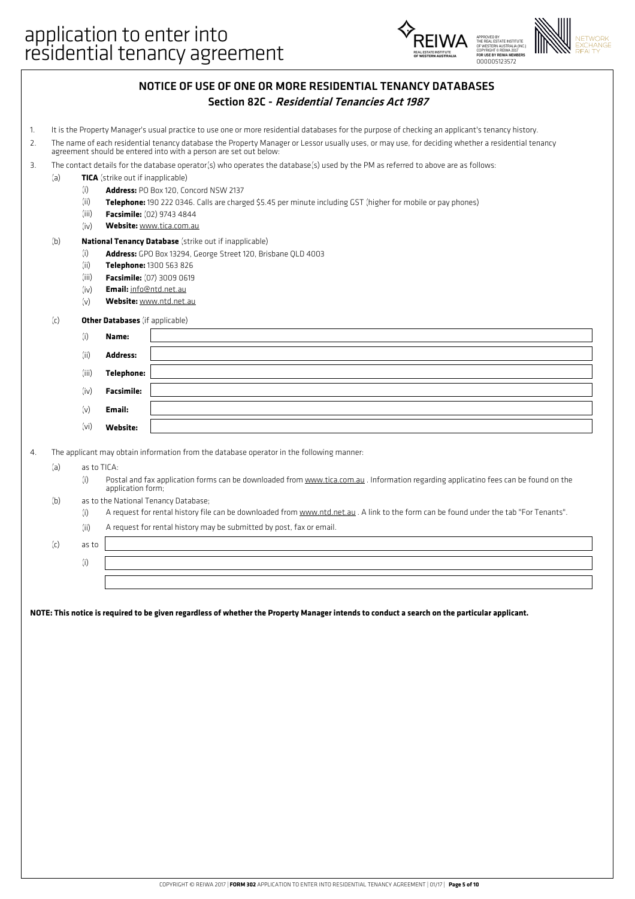

| NOTICE OF USE OF ONE OR MORE RESIDENTIAL TENANCY DATABASES |
|------------------------------------------------------------|
| Section 82C - Residential Tenancies Act 1987               |

- 1. It is the Property Manager's usual practice to use one or more residential databases for the purpose of checking an applicant's tenancy history.
- The name of each residential tenancy database the Property Manager or Lessor usually uses, or may use, for deciding whether a residential tenancy agreement should be entered into with a person are set out below: 2.
- 3. The contact details for the database operator(s) who operates the database(s) used by the PM as referred to above are as follows:
- (a) **TICA** (strike out if inapplicable)
	- (i) **Address:** PO Box 120, Concord NSW 2137
	- (ii) **Telephone:** 190 222 0346. Calls are charged \$5.45 per minute including GST (higher for mobile or pay phones)
	- (iii) **Facsimile:** (02) 9743 4844
	- (iv) **Website:** www.tica.com.au

#### (b) **National Tenancy Database** (strike out if inapplicable)

- (i) **Address:** GPO Box 13294, George Street 120, Brisbane QLD 4003
	- (ii) **Telephone:** 1300 563 826
	- (iii) **Facsimile:** (07) 3009 0619
	- (iv) **Email:** info@ntd.net.au
	- (v) **Website:** www.ntd.net.au

#### (c) **Other Databases** (if applicable)

| (i)   | Name:             |  |
|-------|-------------------|--|
| (ii)  | <b>Address:</b>   |  |
| (iii) | <b>Telephone:</b> |  |
| (iv)  | <b>Facsimile:</b> |  |
| (v)   | Email:            |  |
| (vi)  | Website:          |  |

4. The applicant may obtain information from the database operator in the following manner:

- (a) as to TICA:
	- (i) Postal and fax application forms can be downloaded from www.tica.com.au . Information regarding applicatino fees can be found on the application form;
- (b) as to the National Tenancy Database;
	- (i) A request for rental history file can be downloaded from www.ntd.net.au . A link to the form can be found under the tab "For Tenants".
	- (ii) A request for rental history may be submitted by post, fax or email.

(c) as to

(i)

NOTE: This notice is required to be given regardless of whether the Property Manager intends to conduct a search on the particular applicant.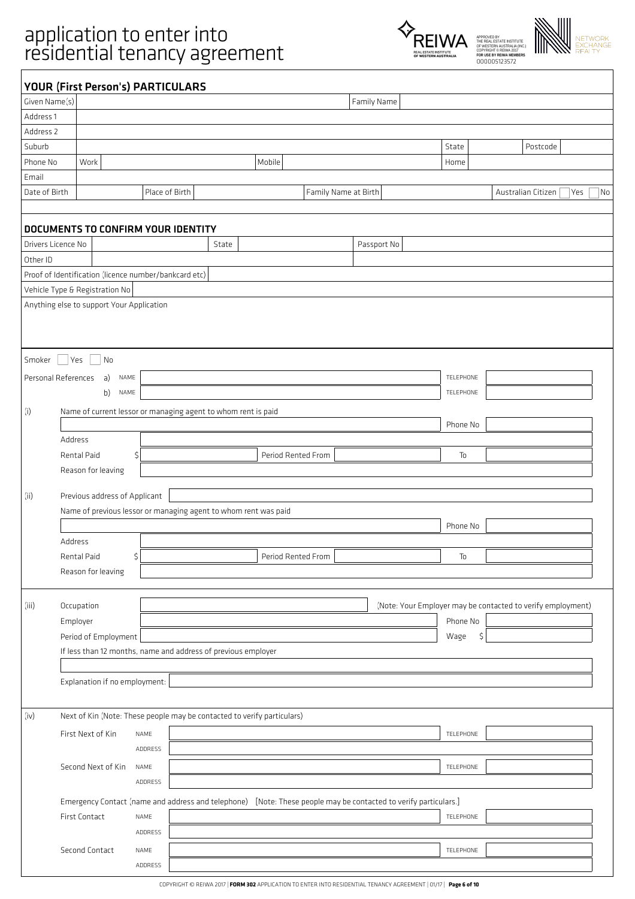# application to enter into<br>
FOREIWA





| Given Name(s) |                                           | <b>YOUR (First Person's) PARTICULARS</b>                                |       |                                                                                                                 | Family Name          |                                                             |                    |           |
|---------------|-------------------------------------------|-------------------------------------------------------------------------|-------|-----------------------------------------------------------------------------------------------------------------|----------------------|-------------------------------------------------------------|--------------------|-----------|
| Address 1     |                                           |                                                                         |       |                                                                                                                 |                      |                                                             |                    |           |
| Address 2     |                                           |                                                                         |       |                                                                                                                 |                      |                                                             |                    |           |
| Suburb        |                                           |                                                                         |       |                                                                                                                 |                      | State                                                       | Postcode           |           |
| Phone No      | Work                                      |                                                                         |       | Mobile                                                                                                          |                      | Home                                                        |                    |           |
|               |                                           |                                                                         |       |                                                                                                                 |                      |                                                             |                    |           |
| Email         |                                           |                                                                         |       |                                                                                                                 |                      |                                                             |                    |           |
| Date of Birth |                                           | Place of Birth                                                          |       |                                                                                                                 | Family Name at Birth |                                                             | Australian Citizen | Yes<br>No |
|               |                                           |                                                                         |       |                                                                                                                 |                      |                                                             |                    |           |
|               |                                           | DOCUMENTS TO CONFIRM YOUR IDENTITY                                      |       |                                                                                                                 |                      |                                                             |                    |           |
|               | Drivers Licence No                        |                                                                         | State |                                                                                                                 | Passport No          |                                                             |                    |           |
| Other ID      |                                           |                                                                         |       |                                                                                                                 |                      |                                                             |                    |           |
|               |                                           | Proof of Identification (licence number/bankcard etc)                   |       |                                                                                                                 |                      |                                                             |                    |           |
|               | Vehicle Type & Registration No            |                                                                         |       |                                                                                                                 |                      |                                                             |                    |           |
|               | Anything else to support Your Application |                                                                         |       |                                                                                                                 |                      |                                                             |                    |           |
|               |                                           |                                                                         |       |                                                                                                                 |                      |                                                             |                    |           |
|               |                                           |                                                                         |       |                                                                                                                 |                      |                                                             |                    |           |
| Smoker        | No<br>Yes                                 |                                                                         |       |                                                                                                                 |                      |                                                             |                    |           |
|               |                                           |                                                                         |       |                                                                                                                 |                      | TELEPHONE                                                   |                    |           |
|               | Personal References<br>a)<br>NAME<br>NAME |                                                                         |       |                                                                                                                 |                      | TELEPHONE                                                   |                    |           |
|               | b)                                        |                                                                         |       |                                                                                                                 |                      |                                                             |                    |           |
| (i)           |                                           | Name of current lessor or managing agent to whom rent is paid           |       |                                                                                                                 |                      |                                                             |                    |           |
|               |                                           |                                                                         |       |                                                                                                                 |                      | Phone No                                                    |                    |           |
|               | Address                                   |                                                                         |       |                                                                                                                 |                      |                                                             |                    |           |
|               | Rental Paid                               | \$                                                                      |       | Period Rented From                                                                                              |                      | $\mathsf{T}_0$                                              |                    |           |
|               | Reason for leaving                        |                                                                         |       |                                                                                                                 |                      |                                                             |                    |           |
| (ii)          | Previous address of Applicant             |                                                                         |       |                                                                                                                 |                      |                                                             |                    |           |
|               |                                           | Name of previous lessor or managing agent to whom rent was paid         |       |                                                                                                                 |                      |                                                             |                    |           |
|               |                                           |                                                                         |       |                                                                                                                 |                      | Phone No                                                    |                    |           |
|               | Address                                   |                                                                         |       |                                                                                                                 |                      |                                                             |                    |           |
|               | Rental Paid                               | \$                                                                      |       | Period Rented From                                                                                              |                      | To                                                          |                    |           |
|               | Reason for leaving                        |                                                                         |       |                                                                                                                 |                      |                                                             |                    |           |
|               |                                           |                                                                         |       |                                                                                                                 |                      |                                                             |                    |           |
| (iii)         | Occupation                                |                                                                         |       |                                                                                                                 |                      | (Note: Your Employer may be contacted to verify employment) |                    |           |
|               | Employer                                  |                                                                         |       |                                                                                                                 |                      | Phone No                                                    |                    |           |
|               | Period of Employment                      |                                                                         |       |                                                                                                                 |                      | Wage<br>\$                                                  |                    |           |
|               |                                           | If less than 12 months, name and address of previous employer           |       |                                                                                                                 |                      |                                                             |                    |           |
|               |                                           |                                                                         |       |                                                                                                                 |                      |                                                             |                    |           |
|               | Explanation if no employment:             |                                                                         |       |                                                                                                                 |                      |                                                             |                    |           |
|               |                                           |                                                                         |       |                                                                                                                 |                      |                                                             |                    |           |
| (iv)          |                                           |                                                                         |       |                                                                                                                 |                      |                                                             |                    |           |
|               |                                           | Next of Kin (Note: These people may be contacted to verify particulars) |       |                                                                                                                 |                      |                                                             |                    |           |
|               | First Next of Kin                         | NAME                                                                    |       |                                                                                                                 |                      | TELEPHONE                                                   |                    |           |
|               |                                           | ADDRESS                                                                 |       |                                                                                                                 |                      |                                                             |                    |           |
|               | Second Next of Kin                        | NAME                                                                    |       |                                                                                                                 |                      | TELEPHONE                                                   |                    |           |
|               |                                           | ADDRESS                                                                 |       |                                                                                                                 |                      |                                                             |                    |           |
|               |                                           |                                                                         |       | Emergency Contact (name and address and telephone) [Note: These people may be contacted to verify particulars.] |                      |                                                             |                    |           |
|               |                                           |                                                                         |       |                                                                                                                 |                      |                                                             |                    |           |
|               | First Contact                             | NAME                                                                    |       |                                                                                                                 |                      | TELEPHONE                                                   |                    |           |
|               |                                           | ADDRESS                                                                 |       |                                                                                                                 |                      |                                                             |                    |           |
|               | Second Contact                            | NAME                                                                    |       |                                                                                                                 |                      | TELEPHONE                                                   |                    |           |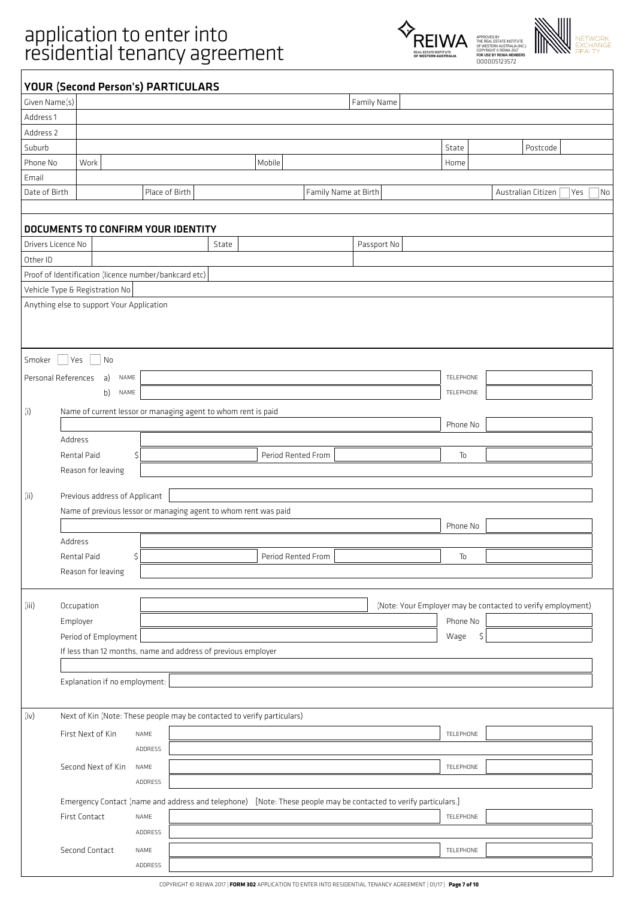# application to enter into<br>
FOREIWA





|                      |                                           | <b>YOUR (Second Person's) PARTICULARS</b>                               |       |                    |                      |                                                                                                                 |           |                                                             |     |    |
|----------------------|-------------------------------------------|-------------------------------------------------------------------------|-------|--------------------|----------------------|-----------------------------------------------------------------------------------------------------------------|-----------|-------------------------------------------------------------|-----|----|
| Given Name(s)        |                                           |                                                                         |       |                    |                      | Family Name                                                                                                     |           |                                                             |     |    |
| Address 1            |                                           |                                                                         |       |                    |                      |                                                                                                                 |           |                                                             |     |    |
| Address <sub>2</sub> |                                           |                                                                         |       |                    |                      |                                                                                                                 |           |                                                             |     |    |
| Suburb               |                                           |                                                                         |       |                    |                      |                                                                                                                 | State     | Postcode                                                    |     |    |
| Phone No             | Work                                      |                                                                         |       | Mobile             |                      |                                                                                                                 | Home      |                                                             |     |    |
| Email                |                                           |                                                                         |       |                    |                      |                                                                                                                 |           |                                                             |     |    |
| Date of Birth        |                                           | Place of Birth                                                          |       |                    | Family Name at Birth |                                                                                                                 |           | Australian Citizen                                          | Yes | No |
|                      |                                           |                                                                         |       |                    |                      |                                                                                                                 |           |                                                             |     |    |
|                      |                                           | DOCUMENTS TO CONFIRM YOUR IDENTITY                                      |       |                    |                      |                                                                                                                 |           |                                                             |     |    |
| Drivers Licence No   |                                           |                                                                         | State |                    |                      | Passport No                                                                                                     |           |                                                             |     |    |
| Other ID             |                                           |                                                                         |       |                    |                      |                                                                                                                 |           |                                                             |     |    |
|                      |                                           | Proof of Identification (licence number/bankcard etc)                   |       |                    |                      |                                                                                                                 |           |                                                             |     |    |
|                      | Vehicle Type & Registration No            |                                                                         |       |                    |                      |                                                                                                                 |           |                                                             |     |    |
|                      | Anything else to support Your Application |                                                                         |       |                    |                      |                                                                                                                 |           |                                                             |     |    |
|                      |                                           |                                                                         |       |                    |                      |                                                                                                                 |           |                                                             |     |    |
|                      |                                           |                                                                         |       |                    |                      |                                                                                                                 |           |                                                             |     |    |
| Smoker               | <b>Yes</b><br>$\parallel$<br>No           |                                                                         |       |                    |                      |                                                                                                                 |           |                                                             |     |    |
| Personal References  | a)<br>NAME                                |                                                                         |       |                    |                      |                                                                                                                 | TELEPHONE |                                                             |     |    |
|                      | NAME                                      |                                                                         |       |                    |                      |                                                                                                                 | TELEPHONE |                                                             |     |    |
|                      | b)                                        |                                                                         |       |                    |                      |                                                                                                                 |           |                                                             |     |    |
| (i)                  |                                           | Name of current lessor or managing agent to whom rent is paid           |       |                    |                      |                                                                                                                 |           |                                                             |     |    |
|                      |                                           |                                                                         |       |                    |                      |                                                                                                                 | Phone No  |                                                             |     |    |
|                      | Address                                   |                                                                         |       |                    |                      |                                                                                                                 |           |                                                             |     |    |
|                      | Rental Paid                               | \$                                                                      |       | Period Rented From |                      |                                                                                                                 | To        |                                                             |     |    |
|                      | Reason for leaving                        |                                                                         |       |                    |                      |                                                                                                                 |           |                                                             |     |    |
| (ii)                 | Previous address of Applicant             |                                                                         |       |                    |                      |                                                                                                                 |           |                                                             |     |    |
|                      |                                           | Name of previous lessor or managing agent to whom rent was paid         |       |                    |                      |                                                                                                                 |           |                                                             |     |    |
|                      |                                           |                                                                         |       |                    |                      |                                                                                                                 | Phone No  |                                                             |     |    |
|                      | Address                                   |                                                                         |       |                    |                      |                                                                                                                 |           |                                                             |     |    |
|                      | Rental Paid                               | \$                                                                      |       | Period Rented From |                      |                                                                                                                 | To        |                                                             |     |    |
|                      | Reason for leaving                        |                                                                         |       |                    |                      |                                                                                                                 |           |                                                             |     |    |
|                      |                                           |                                                                         |       |                    |                      |                                                                                                                 |           |                                                             |     |    |
| (iii)                | Occupation                                |                                                                         |       |                    |                      |                                                                                                                 |           | (Note: Your Employer may be contacted to verify employment) |     |    |
|                      | Employer                                  |                                                                         |       |                    |                      |                                                                                                                 | Phone No  |                                                             |     |    |
|                      | Period of Employment                      |                                                                         |       |                    |                      |                                                                                                                 | Wage      | \$                                                          |     |    |
|                      |                                           | If less than 12 months, name and address of previous employer           |       |                    |                      |                                                                                                                 |           |                                                             |     |    |
|                      |                                           |                                                                         |       |                    |                      |                                                                                                                 |           |                                                             |     |    |
|                      | Explanation if no employment:             |                                                                         |       |                    |                      |                                                                                                                 |           |                                                             |     |    |
|                      |                                           |                                                                         |       |                    |                      |                                                                                                                 |           |                                                             |     |    |
| (iv)                 |                                           | Next of Kin (Note: These people may be contacted to verify particulars) |       |                    |                      |                                                                                                                 |           |                                                             |     |    |
|                      |                                           |                                                                         |       |                    |                      |                                                                                                                 |           |                                                             |     |    |
|                      | First Next of Kin                         | NAME                                                                    |       |                    |                      |                                                                                                                 | TELEPHONE |                                                             |     |    |
|                      |                                           | ADDRESS                                                                 |       |                    |                      |                                                                                                                 |           |                                                             |     |    |
|                      | Second Next of Kin                        | NAME                                                                    |       |                    |                      |                                                                                                                 | TELEPHONE |                                                             |     |    |
|                      |                                           | ADDRESS                                                                 |       |                    |                      |                                                                                                                 |           |                                                             |     |    |
|                      |                                           |                                                                         |       |                    |                      | Emergency Contact (name and address and telephone) [Note: These people may be contacted to verify particulars.] |           |                                                             |     |    |
|                      | First Contact                             | NAME                                                                    |       |                    |                      |                                                                                                                 | TELEPHONE |                                                             |     |    |
|                      |                                           | ADDRESS                                                                 |       |                    |                      |                                                                                                                 |           |                                                             |     |    |
|                      | Second Contact                            | NAME                                                                    |       |                    |                      |                                                                                                                 | TELEPHONE |                                                             |     |    |
|                      |                                           | ADDRESS                                                                 |       |                    |                      |                                                                                                                 |           |                                                             |     |    |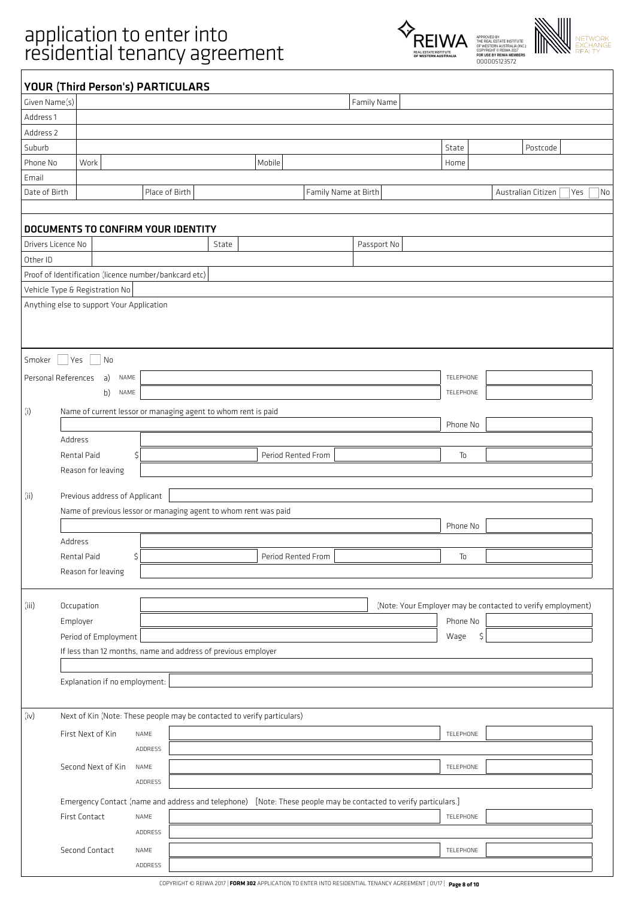



|                    | <b>YOUR (Third Person's) PARTICULARS</b>              |                |                                                                                                                 |                      |             |           |                                                             |    |
|--------------------|-------------------------------------------------------|----------------|-----------------------------------------------------------------------------------------------------------------|----------------------|-------------|-----------|-------------------------------------------------------------|----|
| Given Name(s)      |                                                       |                |                                                                                                                 |                      | Family Name |           |                                                             |    |
| Address 1          |                                                       |                |                                                                                                                 |                      |             |           |                                                             |    |
| Address 2          |                                                       |                |                                                                                                                 |                      |             |           |                                                             |    |
| Suburb             |                                                       |                |                                                                                                                 |                      |             | State     | Postcode                                                    |    |
| Phone No           | Work                                                  |                | Mobile                                                                                                          |                      |             | Home      |                                                             |    |
| Email              |                                                       |                |                                                                                                                 |                      |             |           |                                                             |    |
| Date of Birth      |                                                       | Place of Birth |                                                                                                                 | Family Name at Birth |             |           | Australian Citizen<br>Yes                                   | No |
|                    | DOCUMENTS TO CONFIRM YOUR IDENTITY                    |                |                                                                                                                 |                      |             |           |                                                             |    |
| Drivers Licence No |                                                       |                | State                                                                                                           |                      | Passport No |           |                                                             |    |
| Other ID           |                                                       |                |                                                                                                                 |                      |             |           |                                                             |    |
|                    | Proof of Identification (licence number/bankcard etc) |                |                                                                                                                 |                      |             |           |                                                             |    |
|                    | Vehicle Type & Registration No                        |                |                                                                                                                 |                      |             |           |                                                             |    |
|                    | Anything else to support Your Application             |                |                                                                                                                 |                      |             |           |                                                             |    |
|                    |                                                       |                |                                                                                                                 |                      |             |           |                                                             |    |
|                    |                                                       |                |                                                                                                                 |                      |             |           |                                                             |    |
| Smoker             | <b>Yes</b><br>No                                      |                |                                                                                                                 |                      |             |           |                                                             |    |
|                    | Personal References<br>a)<br>NAME                     |                |                                                                                                                 |                      |             | TELEPHONE |                                                             |    |
|                    | b)<br>NAME                                            |                |                                                                                                                 |                      |             | TELEPHONE |                                                             |    |
| (i)                |                                                       |                | Name of current lessor or managing agent to whom rent is paid                                                   |                      |             |           |                                                             |    |
|                    |                                                       |                |                                                                                                                 |                      |             | Phone No  |                                                             |    |
|                    | Address                                               |                |                                                                                                                 |                      |             |           |                                                             |    |
|                    | Rental Paid                                           | $\zeta$        | Period Rented From                                                                                              |                      |             | To        |                                                             |    |
|                    | Reason for leaving                                    |                |                                                                                                                 |                      |             |           |                                                             |    |
|                    |                                                       |                |                                                                                                                 |                      |             |           |                                                             |    |
| (ii)               | Previous address of Applicant                         |                |                                                                                                                 |                      |             |           |                                                             |    |
|                    |                                                       |                | Name of previous lessor or managing agent to whom rent was paid                                                 |                      |             |           |                                                             |    |
|                    |                                                       |                |                                                                                                                 |                      |             | Phone No  |                                                             |    |
|                    | Address                                               |                |                                                                                                                 |                      |             |           |                                                             |    |
|                    | Rental Paid                                           | \$             | Period Rented From                                                                                              |                      |             | To        |                                                             |    |
|                    | Reason for leaving                                    |                |                                                                                                                 |                      |             |           |                                                             |    |
|                    |                                                       |                |                                                                                                                 |                      |             |           |                                                             |    |
| (iii)              | Occupation                                            |                |                                                                                                                 |                      |             |           | (Note: Your Employer may be contacted to verify employment) |    |
|                    | Employer                                              |                |                                                                                                                 |                      |             | Phone No  |                                                             |    |
|                    | Period of Employment                                  |                |                                                                                                                 |                      |             | Wage      | \$                                                          |    |
|                    |                                                       |                | If less than 12 months, name and address of previous employer                                                   |                      |             |           |                                                             |    |
|                    | Explanation if no employment:                         |                |                                                                                                                 |                      |             |           |                                                             |    |
|                    |                                                       |                |                                                                                                                 |                      |             |           |                                                             |    |
| (iv)               |                                                       |                | Next of Kin (Note: These people may be contacted to verify particulars)                                         |                      |             |           |                                                             |    |
|                    |                                                       |                |                                                                                                                 |                      |             |           |                                                             |    |
|                    | First Next of Kin                                     | NAME           |                                                                                                                 |                      |             | TELEPHONE |                                                             |    |
|                    |                                                       | ADDRESS        |                                                                                                                 |                      |             |           |                                                             |    |
|                    | Second Next of Kin                                    | NAME           |                                                                                                                 |                      |             | TELEPHONE |                                                             |    |
|                    |                                                       | ADDRESS        |                                                                                                                 |                      |             |           |                                                             |    |
|                    |                                                       |                | Emergency Contact (name and address and telephone) [Note: These people may be contacted to verify particulars.] |                      |             |           |                                                             |    |
|                    | First Contact                                         | NAME           |                                                                                                                 |                      |             | TELEPHONE |                                                             |    |
|                    |                                                       | ADDRESS        |                                                                                                                 |                      |             |           |                                                             |    |
|                    | Second Contact                                        | NAME           |                                                                                                                 |                      |             | TELEPHONE |                                                             |    |
|                    |                                                       | ADDRESS        |                                                                                                                 |                      |             |           |                                                             |    |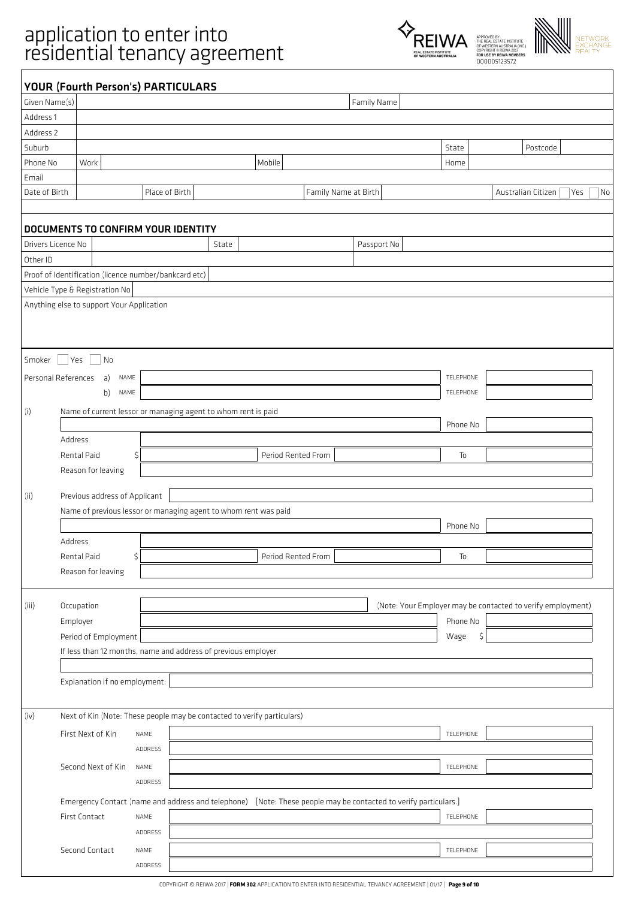



| Given Name(s)          | YOUR (Fourth Person's) PARTICULARS                                      |                |       |                                                                                                                 | Family Name          |            |                                                             |           |
|------------------------|-------------------------------------------------------------------------|----------------|-------|-----------------------------------------------------------------------------------------------------------------|----------------------|------------|-------------------------------------------------------------|-----------|
| Address 1              |                                                                         |                |       |                                                                                                                 |                      |            |                                                             |           |
| Address 2              |                                                                         |                |       |                                                                                                                 |                      |            |                                                             |           |
| Suburb                 |                                                                         |                |       |                                                                                                                 |                      | State      | Postcode                                                    |           |
|                        | Work                                                                    |                |       |                                                                                                                 |                      |            |                                                             |           |
| Phone No               |                                                                         |                |       | Mobile                                                                                                          |                      | Home       |                                                             |           |
| Email<br>Date of Birth |                                                                         |                |       |                                                                                                                 |                      |            |                                                             |           |
|                        |                                                                         | Place of Birth |       |                                                                                                                 | Family Name at Birth |            | Australian Citizen                                          | Yes<br>No |
|                        |                                                                         |                |       |                                                                                                                 |                      |            |                                                             |           |
|                        | <b>DOCUMENTS TO CONFIRM YOUR IDENTITY</b>                               |                |       |                                                                                                                 |                      |            |                                                             |           |
| Drivers Licence No     |                                                                         |                | State |                                                                                                                 | Passport No          |            |                                                             |           |
| Other ID               |                                                                         |                |       |                                                                                                                 |                      |            |                                                             |           |
|                        | Proof of Identification (licence number/bankcard etc)                   |                |       |                                                                                                                 |                      |            |                                                             |           |
|                        | Vehicle Type & Registration No                                          |                |       |                                                                                                                 |                      |            |                                                             |           |
|                        | Anything else to support Your Application                               |                |       |                                                                                                                 |                      |            |                                                             |           |
|                        |                                                                         |                |       |                                                                                                                 |                      |            |                                                             |           |
|                        |                                                                         |                |       |                                                                                                                 |                      |            |                                                             |           |
| Smoker                 | Yes<br>No                                                               |                |       |                                                                                                                 |                      |            |                                                             |           |
|                        |                                                                         |                |       |                                                                                                                 |                      |            |                                                             |           |
|                        | a)<br>Personal References<br>NAME                                       |                |       |                                                                                                                 |                      | TELEPHONE  |                                                             |           |
|                        | b)<br>NAME                                                              |                |       |                                                                                                                 |                      | TELEPHONE  |                                                             |           |
|                        | Name of current lessor or managing agent to whom rent is paid           |                |       |                                                                                                                 |                      |            |                                                             |           |
|                        |                                                                         |                |       |                                                                                                                 |                      | Phone No   |                                                             |           |
|                        | Address                                                                 |                |       |                                                                                                                 |                      |            |                                                             |           |
|                        | Rental Paid                                                             | \$             |       | Period Rented From                                                                                              |                      | To         |                                                             |           |
|                        | Reason for leaving                                                      |                |       |                                                                                                                 |                      |            |                                                             |           |
| (ii)                   | Previous address of Applicant                                           |                |       |                                                                                                                 |                      |            |                                                             |           |
|                        |                                                                         |                |       |                                                                                                                 |                      |            |                                                             |           |
|                        | Name of previous lessor or managing agent to whom rent was paid         |                |       |                                                                                                                 |                      |            |                                                             |           |
|                        |                                                                         |                |       |                                                                                                                 |                      | Phone No   |                                                             |           |
|                        | Address                                                                 |                |       |                                                                                                                 |                      |            |                                                             |           |
|                        | Rental Paid                                                             | \$             |       | Period Rented From                                                                                              |                      | To         |                                                             |           |
|                        | Reason for leaving                                                      |                |       |                                                                                                                 |                      |            |                                                             |           |
|                        |                                                                         |                |       |                                                                                                                 |                      |            |                                                             |           |
| (iii)                  | Occupation                                                              |                |       |                                                                                                                 |                      |            | (Note: Your Employer may be contacted to verify employment) |           |
|                        | Employer                                                                |                |       |                                                                                                                 |                      | Phone No   |                                                             |           |
|                        | Period of Employment                                                    |                |       |                                                                                                                 |                      | Wage<br>\$ |                                                             |           |
|                        | If less than 12 months, name and address of previous employer           |                |       |                                                                                                                 |                      |            |                                                             |           |
|                        |                                                                         |                |       |                                                                                                                 |                      |            |                                                             |           |
|                        | Explanation if no employment:                                           |                |       |                                                                                                                 |                      |            |                                                             |           |
|                        |                                                                         |                |       |                                                                                                                 |                      |            |                                                             |           |
| (iv)                   | Next of Kin (Note: These people may be contacted to verify particulars) |                |       |                                                                                                                 |                      |            |                                                             |           |
|                        | First Next of Kin                                                       | NAME           |       |                                                                                                                 |                      | TELEPHONE  |                                                             |           |
|                        |                                                                         | ADDRESS        |       |                                                                                                                 |                      |            |                                                             |           |
|                        |                                                                         |                |       |                                                                                                                 |                      |            |                                                             |           |
|                        | Second Next of Kin                                                      | NAME           |       |                                                                                                                 |                      | TELEPHONE  |                                                             |           |
|                        |                                                                         | ADDRESS        |       |                                                                                                                 |                      |            |                                                             |           |
|                        |                                                                         |                |       | Emergency Contact (name and address and telephone) [Note: These people may be contacted to verify particulars.] |                      |            |                                                             |           |
|                        | First Contact                                                           | NAME           |       |                                                                                                                 |                      | TELEPHONE  |                                                             |           |
|                        |                                                                         | ADDRESS        |       |                                                                                                                 |                      |            |                                                             |           |
|                        | Second Contact                                                          | NAME           |       |                                                                                                                 |                      | TELEPHONE  |                                                             |           |
|                        |                                                                         | ADDRESS        |       |                                                                                                                 |                      |            |                                                             |           |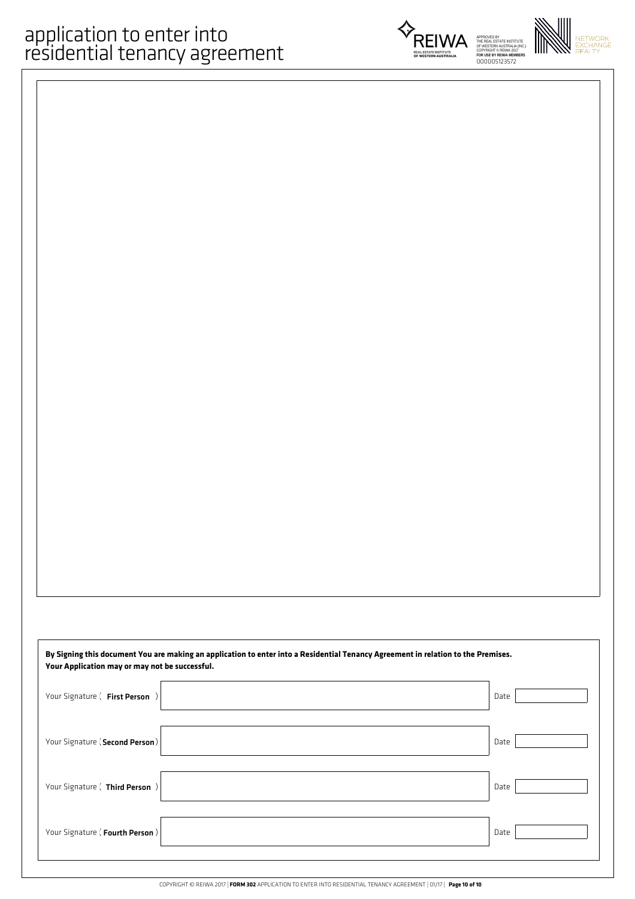



| By Signing this document You are making an application to enter into a Residential Tenancy Agreement in relation to the Premises.<br>Your Application may or may not be successful. |      |  |  |  |
|-------------------------------------------------------------------------------------------------------------------------------------------------------------------------------------|------|--|--|--|
| Your Signature ( First Person )                                                                                                                                                     | Date |  |  |  |
| Your Signature (Second Person)                                                                                                                                                      | Date |  |  |  |
| Your Signature ( Third Person )                                                                                                                                                     | Date |  |  |  |
| Your Signature (Fourth Person)                                                                                                                                                      | Date |  |  |  |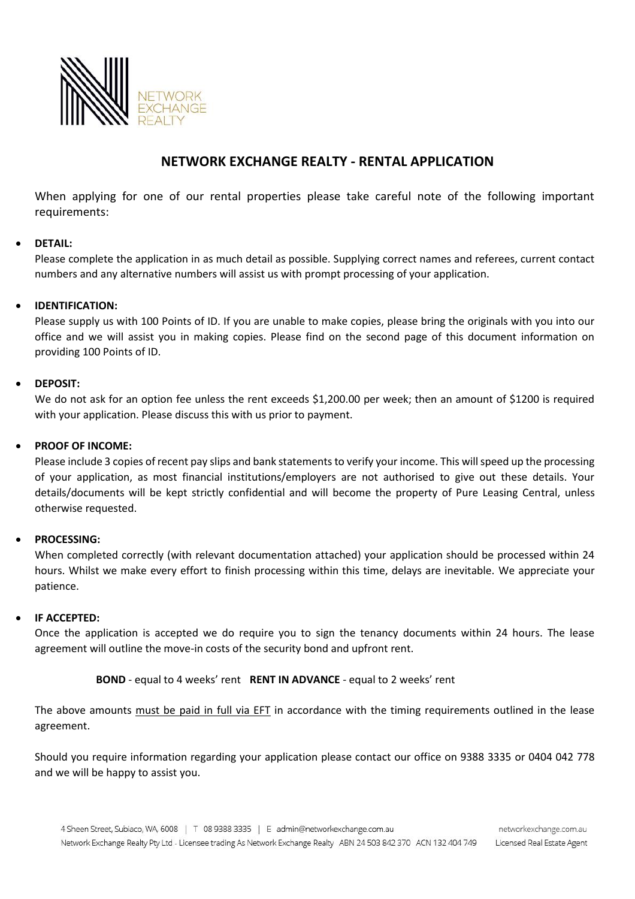

### **NETWORK EXCHANGE REALTY - RENTAL APPLICATION**

When applying for one of our rental properties please take careful note of the following important requirements:

#### • **DETAIL:**

Please complete the application in as much detail as possible. Supplying correct names and referees, current contact numbers and any alternative numbers will assist us with prompt processing of your application.

#### • **IDENTIFICATION:**

Please supply us with 100 Points of ID. If you are unable to make copies, please bring the originals with you into our office and we will assist you in making copies. Please find on the second page of this document information on providing 100 Points of ID.

#### • **DEPOSIT:**

We do not ask for an option fee unless the rent exceeds \$1,200.00 per week; then an amount of \$1200 is required with your application. Please discuss this with us prior to payment.

#### • **PROOF OF INCOME:**

Please include 3 copies of recent pay slips and bank statements to verify your income. This will speed up the processing of your application, as most financial institutions/employers are not authorised to give out these details. Your details/documents will be kept strictly confidential and will become the property of Pure Leasing Central, unless otherwise requested.

#### • **PROCESSING:**

When completed correctly (with relevant documentation attached) your application should be processed within 24 hours. Whilst we make every effort to finish processing within this time, delays are inevitable. We appreciate your patience.

#### • **IF ACCEPTED:**

Once the application is accepted we do require you to sign the tenancy documents within 24 hours. The lease agreement will outline the move-in costs of the security bond and upfront rent.

#### **BOND** - equal to 4 weeks' rent **RENT IN ADVANCE** - equal to 2 weeks' rent

The above amounts must be paid in full via EFT in accordance with the timing requirements outlined in the lease agreement.

Should you require information regarding your application please contact our office on 9388 3335 or 0404 042 778 and we will be happy to assist you.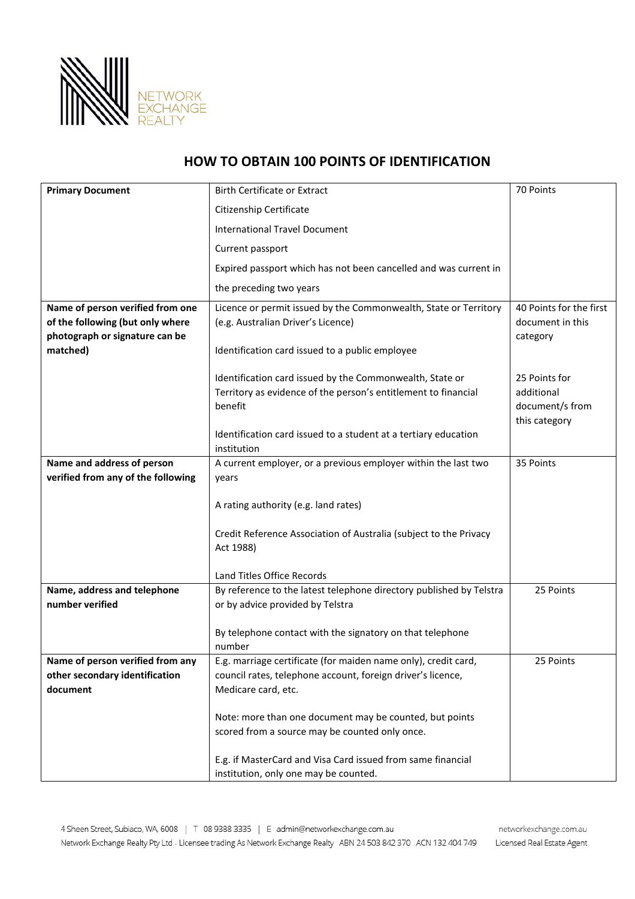

## **HOW TO OBTAIN 100 POINTS OF IDENTIFICATION**

| <b>Primary Document</b>                                                                                | <b>Birth Certificate or Extract</b>                                                                                                                                                                                             | 70 Points                                                       |
|--------------------------------------------------------------------------------------------------------|---------------------------------------------------------------------------------------------------------------------------------------------------------------------------------------------------------------------------------|-----------------------------------------------------------------|
|                                                                                                        | Citizenship Certificate                                                                                                                                                                                                         |                                                                 |
|                                                                                                        | <b>International Travel Document</b>                                                                                                                                                                                            |                                                                 |
|                                                                                                        | Current passport                                                                                                                                                                                                                |                                                                 |
|                                                                                                        | Expired passport which has not been cancelled and was current in                                                                                                                                                                |                                                                 |
|                                                                                                        | the preceding two years                                                                                                                                                                                                         |                                                                 |
| Name of person verified from one<br>of the following (but only where<br>photograph or signature can be | Licence or permit issued by the Commonwealth, State or Territory<br>(e.g. Australian Driver's Licence)                                                                                                                          | 40 Points for the first<br>document in this<br>category         |
| matched)                                                                                               | Identification card issued to a public employee                                                                                                                                                                                 |                                                                 |
|                                                                                                        | Identification card issued by the Commonwealth, State or<br>Territory as evidence of the person's entitlement to financial<br>benefit<br>Identification card issued to a student at a tertiary education<br>institution         | 25 Points for<br>additional<br>document/s from<br>this category |
| Name and address of person<br>verified from any of the following                                       | A current employer, or a previous employer within the last two<br>years<br>A rating authority (e.g. land rates)<br>Credit Reference Association of Australia (subject to the Privacy<br>Act 1988)<br>Land Titles Office Records | 35 Points                                                       |
| Name, address and telephone                                                                            | By reference to the latest telephone directory published by Telstra                                                                                                                                                             | 25 Points                                                       |
| number verified                                                                                        | or by advice provided by Telstra                                                                                                                                                                                                |                                                                 |
|                                                                                                        | By telephone contact with the signatory on that telephone<br>number                                                                                                                                                             |                                                                 |
| Name of person verified from any<br>other secondary identification<br>document                         | E.g. marriage certificate (for maiden name only), credit card,<br>council rates, telephone account, foreign driver's licence,<br>Medicare card, etc.                                                                            | 25 Points                                                       |
|                                                                                                        | Note: more than one document may be counted, but points<br>scored from a source may be counted only once.                                                                                                                       |                                                                 |
|                                                                                                        | E.g. if MasterCard and Visa Card issued from same financial<br>institution, only one may be counted.                                                                                                                            |                                                                 |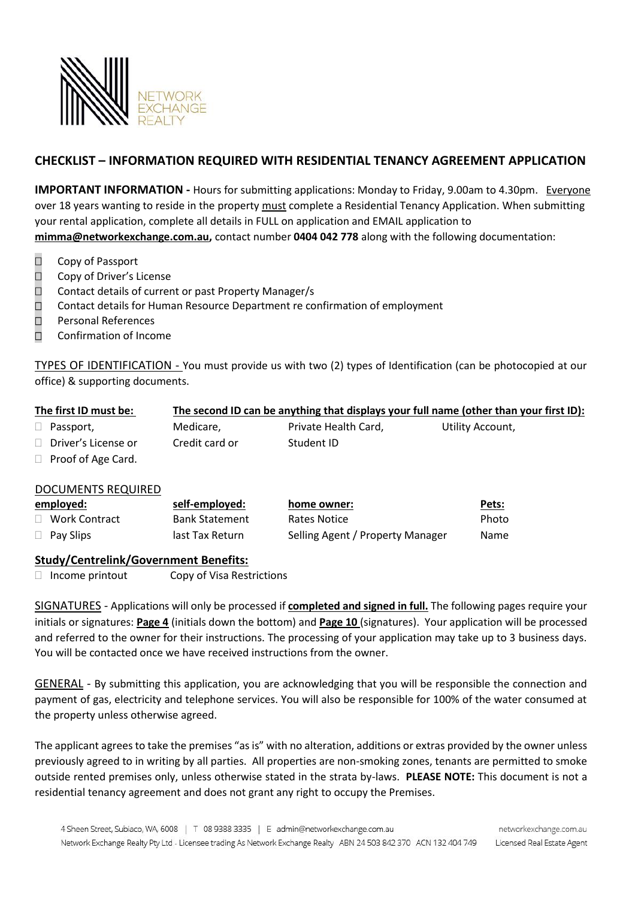

### **CHECKLIST – INFORMATION REQUIRED WITH RESIDENTIAL TENANCY AGREEMENT APPLICATION**

**IMPORTANT INFORMATION -** Hours for submitting applications: Monday to Friday, 9.00am to 4.30pm. Everyone over 18 years wanting to reside in the property must complete a Residential Tenancy Application. When submitting your rental application, complete all details in FULL on application and EMAIL application to **[mimma@networkexchange.com.au,](mailto:mimma@networkexchange.com.au)** contact number **0404 042 778** along with the following documentation:

- □ Copy of Passport
- □ Copy of Driver's License
- $\Box$  Contact details of current or past Property Manager/s
- $\Box$  Contact details for Human Resource Department re confirmation of employment
- □ Personal References
- $\Box$  Confirmation of Income

TYPES OF IDENTIFICATION - You must provide us with two (2) types of Identification (can be photocopied at our office) & supporting documents.

| The first ID must be:        |                |                      | The second ID can be anything that displays your full name (other than your first ID): |
|------------------------------|----------------|----------------------|----------------------------------------------------------------------------------------|
| $\Box$ Passport,             | Medicare,      | Private Health Card, | Utility Account,                                                                       |
| $\Box$ Driver's License or   | Credit card or | Student ID           |                                                                                        |
| $\Box$ Direct of Association |                |                      |                                                                                        |

 $\Box$  Proof of Age Card.

#### DOCUMENTS REQUIRED

| employed:            | self-employed:        | home owner:                      | Pets:       |
|----------------------|-----------------------|----------------------------------|-------------|
| $\Box$ Work Contract | <b>Bank Statement</b> | Rates Notice                     | Photo       |
| $\Box$ Pay Slips     | last Tax Return       | Selling Agent / Property Manager | <b>Name</b> |

#### **Study/Centrelink/Government Benefits:**

 $\Box$  Income printout Copy of Visa Restrictions

SIGNATURES - Applications will only be processed if **completed and signed in full.** The following pages require your initials or signatures: **Page 4** (initials down the bottom) and **Page 10** (signatures). Your application will be processed and referred to the owner for their instructions. The processing of your application may take up to 3 business days. You will be contacted once we have received instructions from the owner.

GENERAL - By submitting this application, you are acknowledging that you will be responsible the connection and payment of gas, electricity and telephone services. You will also be responsible for 100% of the water consumed at the property unless otherwise agreed.

The applicant agrees to take the premises "as is" with no alteration, additions or extras provided by the owner unless previously agreed to in writing by all parties. All properties are non-smoking zones, tenants are permitted to smoke outside rented premises only, unless otherwise stated in the strata by-laws. **PLEASE NOTE:** This document is not a residential tenancy agreement and does not grant any right to occupy the Premises.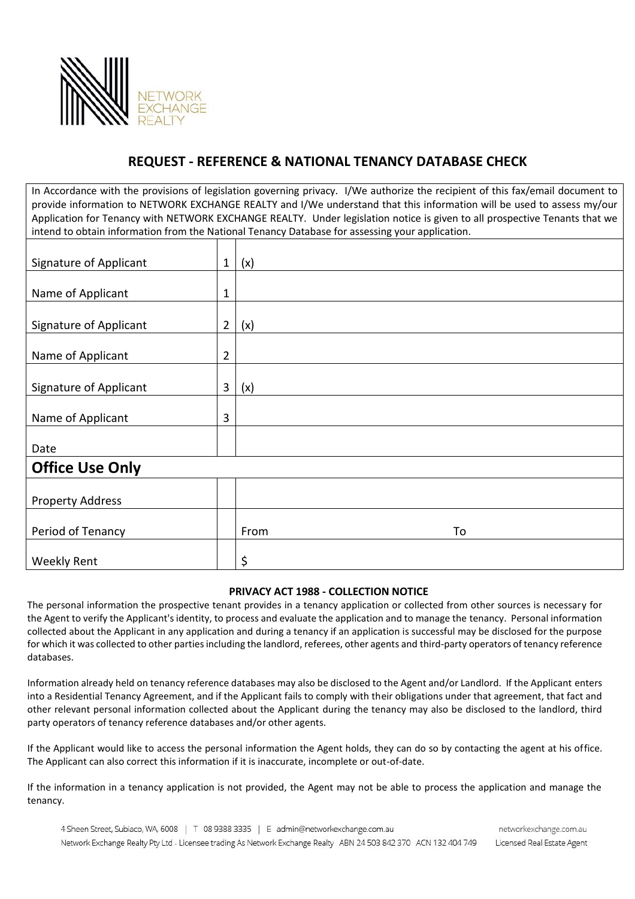

## **REQUEST - REFERENCE & NATIONAL TENANCY DATABASE CHECK**

In Accordance with the provisions of legislation governing privacy. I/We authorize the recipient of this fax/email document to provide information to NETWORK EXCHANGE REALTY and I/We understand that this information will be used to assess my/our Application for Tenancy with NETWORK EXCHANGE REALTY. Under legislation notice is given to all prospective Tenants that we intend to obtain information from the National Tenancy Database for assessing your application.

| <b>Signature of Applicant</b> |                | (x)  |    |  |  |
|-------------------------------|----------------|------|----|--|--|
|                               |                |      |    |  |  |
| Name of Applicant             | $\mathbf{1}$   |      |    |  |  |
| Signature of Applicant        | $\overline{2}$ | (x)  |    |  |  |
| Name of Applicant             | $\overline{2}$ |      |    |  |  |
| Signature of Applicant        |                | (x)  |    |  |  |
| Name of Applicant             |                |      |    |  |  |
| Date                          |                |      |    |  |  |
| <b>Office Use Only</b>        |                |      |    |  |  |
| <b>Property Address</b>       |                |      |    |  |  |
| Period of Tenancy             |                | From | To |  |  |
| <b>Weekly Rent</b>            |                | \$   |    |  |  |

#### **PRIVACY ACT 1988 - COLLECTION NOTICE**

The personal information the prospective tenant provides in a tenancy application or collected from other sources is necessary for the Agent to verify the Applicant's identity, to process and evaluate the application and to manage the tenancy. Personal information collected about the Applicant in any application and during a tenancy if an application is successful may be disclosed for the purpose for which it was collected to other parties including the landlord, referees, other agents and third-party operators of tenancy reference databases.

Information already held on tenancy reference databases may also be disclosed to the Agent and/or Landlord. If the Applicant enters into a Residential Tenancy Agreement, and if the Applicant fails to comply with their obligations under that agreement, that fact and other relevant personal information collected about the Applicant during the tenancy may also be disclosed to the landlord, third party operators of tenancy reference databases and/or other agents.

If the Applicant would like to access the personal information the Agent holds, they can do so by contacting the agent at his office. The Applicant can also correct this information if it is inaccurate, incomplete or out-of-date.

If the information in a tenancy application is not provided, the Agent may not be able to process the application and manage the tenancy.